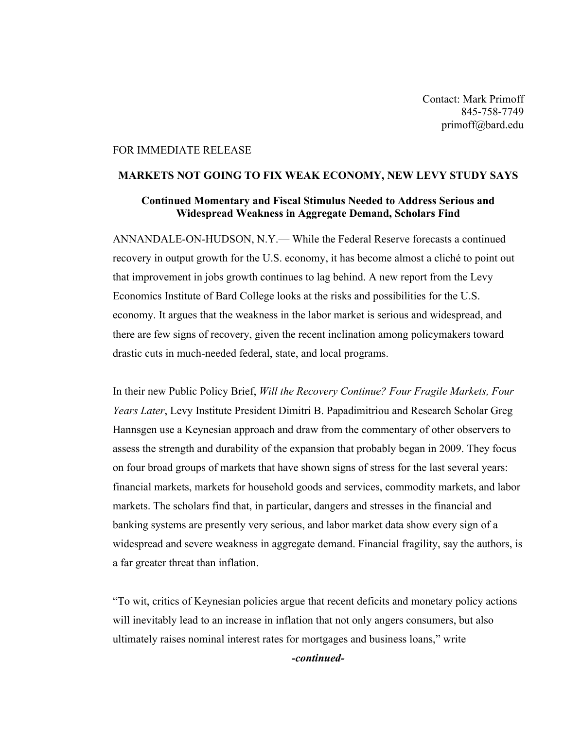Contact: Mark Primoff 845-758-7749 primoff@bard.edu

## FOR IMMEDIATE RELEASE

## **MARKETS NOT GOING TO FIX WEAK ECONOMY, NEW LEVY STUDY SAYS**

## **Continued Momentary and Fiscal Stimulus Needed to Address Serious and Widespread Weakness in Aggregate Demand, Scholars Find**

ANNANDALE-ON-HUDSON, N.Y.— While the Federal Reserve forecasts a continued recovery in output growth for the U.S. economy, it has become almost a cliché to point out that improvement in jobs growth continues to lag behind. A new report from the Levy Economics Institute of Bard College looks at the risks and possibilities for the U.S. economy. It argues that the weakness in the labor market is serious and widespread, and there are few signs of recovery, given the recent inclination among policymakers toward drastic cuts in much-needed federal, state, and local programs.

In their new Public Policy Brief, *Will the Recovery Continue? Four Fragile Markets, Four Years Later*, Levy Institute President Dimitri B. Papadimitriou and Research Scholar Greg Hannsgen use a Keynesian approach and draw from the commentary of other observers to assess the strength and durability of the expansion that probably began in 2009. They focus on four broad groups of markets that have shown signs of stress for the last several years: financial markets, markets for household goods and services, commodity markets, and labor markets. The scholars find that, in particular, dangers and stresses in the financial and banking systems are presently very serious, and labor market data show every sign of a widespread and severe weakness in aggregate demand. Financial fragility, say the authors, is a far greater threat than inflation.

"To wit, critics of Keynesian policies argue that recent deficits and monetary policy actions will inevitably lead to an increase in inflation that not only angers consumers, but also ultimately raises nominal interest rates for mortgages and business loans," write

*-continued-*